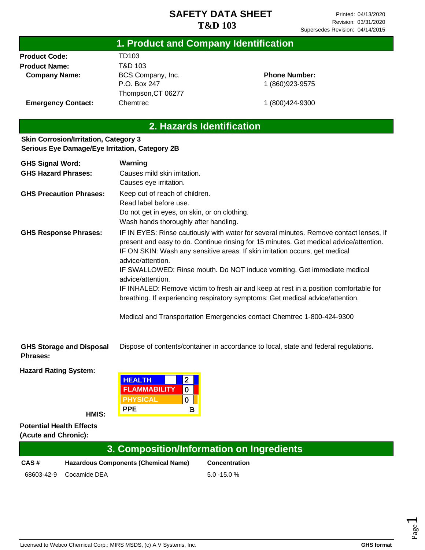|                           | 1. Product and Company Identification |                      |  |
|---------------------------|---------------------------------------|----------------------|--|
| <b>Product Code:</b>      | TD103                                 |                      |  |
| <b>Product Name:</b>      | T&D 103                               |                      |  |
| <b>Company Name:</b>      | BCS Company, Inc.                     | <b>Phone Number:</b> |  |
|                           | P.O. Box 247                          | 1 (860) 923-9575     |  |
|                           | Thompson, CT 06277                    |                      |  |
| <b>Emergency Contact:</b> | Chemtrec                              | 1 (800) 424-9300     |  |
|                           |                                       |                      |  |

# **2. Hazards Identification**

#### **Skin Corrosion/Irritation, Category 3 Serious Eye Damage/Eye Irritation, Category 2B**

| <b>GHS Signal Word:</b>         | Warning                                                                                                                                                                                                                                                                                                                                                                                                                                                                                                                                                           |  |  |
|---------------------------------|-------------------------------------------------------------------------------------------------------------------------------------------------------------------------------------------------------------------------------------------------------------------------------------------------------------------------------------------------------------------------------------------------------------------------------------------------------------------------------------------------------------------------------------------------------------------|--|--|
| <b>GHS Hazard Phrases:</b>      | Causes mild skin irritation.                                                                                                                                                                                                                                                                                                                                                                                                                                                                                                                                      |  |  |
|                                 | Causes eye irritation.                                                                                                                                                                                                                                                                                                                                                                                                                                                                                                                                            |  |  |
| <b>GHS Precaution Phrases:</b>  | Keep out of reach of children.<br>Read label before use.<br>Do not get in eyes, on skin, or on clothing.<br>Wash hands thoroughly after handling.                                                                                                                                                                                                                                                                                                                                                                                                                 |  |  |
| <b>GHS Response Phrases:</b>    | IF IN EYES: Rinse cautiously with water for several minutes. Remove contact lenses, if<br>present and easy to do. Continue rinsing for 15 minutes. Get medical advice/attention.<br>IF ON SKIN: Wash any sensitive areas. If skin irritation occurs, get medical<br>advice/attention.<br>IF SWALLOWED: Rinse mouth. Do NOT induce vomiting. Get immediate medical<br>advice/attention.<br>IF INHALED: Remove victim to fresh air and keep at rest in a position comfortable for<br>breathing. If experiencing respiratory symptoms: Get medical advice/attention. |  |  |
|                                 | Medical and Transportation Emergencies contact Chemtrec 1-800-424-9300                                                                                                                                                                                                                                                                                                                                                                                                                                                                                            |  |  |
| <b>GHS Storage and Disposal</b> | Dispose of contents/container in accordance to local, state and federal regulations.                                                                                                                                                                                                                                                                                                                                                                                                                                                                              |  |  |

**Phrases:**

**Hazard Rating System:**

| <b>HEALTH</b>       |   |
|---------------------|---|
| <b>FLAMMABILITY</b> |   |
| PHYSICAL            |   |
| <b>PPE</b>          | в |

**HMIS:**

**Potential Health Effects (Acute and Chronic):**

|      | 3. Composition/Information on Ingredients   |                      |  |  |
|------|---------------------------------------------|----------------------|--|--|
| CAS# | <b>Hazardous Components (Chemical Name)</b> | <b>Concentration</b> |  |  |
|      | 68603-42-9 Cocamide DEA                     | $5.0 - 15.0 \%$      |  |  |

Page  $\overline{\phantom{0}}$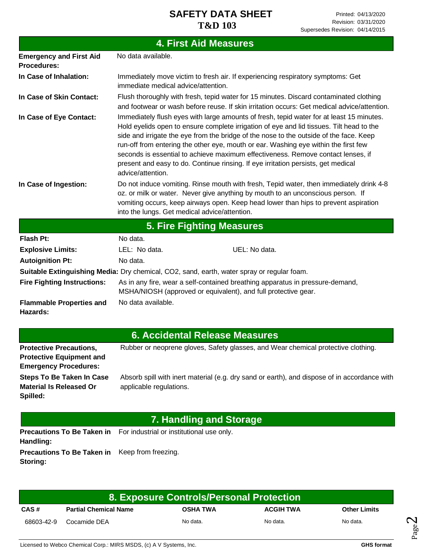|                                                      | <b>4. First Aid Measures</b>                                                                                                                                                                                                                                                                                                                                                                                                                                                                                                                                        |  |  |
|------------------------------------------------------|---------------------------------------------------------------------------------------------------------------------------------------------------------------------------------------------------------------------------------------------------------------------------------------------------------------------------------------------------------------------------------------------------------------------------------------------------------------------------------------------------------------------------------------------------------------------|--|--|
| <b>Emergency and First Aid</b><br><b>Procedures:</b> | No data available.                                                                                                                                                                                                                                                                                                                                                                                                                                                                                                                                                  |  |  |
| In Case of Inhalation:                               | Immediately move victim to fresh air. If experiencing respiratory symptoms: Get<br>immediate medical advice/attention.                                                                                                                                                                                                                                                                                                                                                                                                                                              |  |  |
| In Case of Skin Contact:                             | Flush thoroughly with fresh, tepid water for 15 minutes. Discard contaminated clothing<br>and footwear or wash before reuse. If skin irritation occurs: Get medical advice/attention.                                                                                                                                                                                                                                                                                                                                                                               |  |  |
| In Case of Eye Contact:                              | Immediately flush eyes with large amounts of fresh, tepid water for at least 15 minutes.<br>Hold eyelids open to ensure complete irrigation of eye and lid tissues. Tilt head to the<br>side and irrigate the eye from the bridge of the nose to the outside of the face. Keep<br>run-off from entering the other eye, mouth or ear. Washing eye within the first few<br>seconds is essential to achieve maximum effectiveness. Remove contact lenses, if<br>present and easy to do. Continue rinsing. If eye irritation persists, get medical<br>advice/attention. |  |  |
| In Case of Ingestion:                                | Do not induce vomiting. Rinse mouth with fresh, Tepid water, then immediately drink 4-8<br>oz. or milk or water. Never give anything by mouth to an unconscious person. If<br>vomiting occurs, keep airways open. Keep head lower than hips to prevent aspiration<br>into the lungs. Get medical advice/attention.                                                                                                                                                                                                                                                  |  |  |
|                                                      | <b>5. Fire Fighting Measures</b>                                                                                                                                                                                                                                                                                                                                                                                                                                                                                                                                    |  |  |
| <b>Flash Pt:</b>                                     | No data.                                                                                                                                                                                                                                                                                                                                                                                                                                                                                                                                                            |  |  |
| <b>Explosive Limits:</b>                             | LEL: No data.<br>UEL: No data.                                                                                                                                                                                                                                                                                                                                                                                                                                                                                                                                      |  |  |
| <b>Autoignition Pt:</b>                              | No data.                                                                                                                                                                                                                                                                                                                                                                                                                                                                                                                                                            |  |  |
|                                                      | Suitable Extinguishing Media: Dry chemical, CO2, sand, earth, water spray or regular foam.                                                                                                                                                                                                                                                                                                                                                                                                                                                                          |  |  |
| <b>Fire Fighting Instructions:</b>                   | As in any fire, wear a self-contained breathing apparatus in pressure-demand,<br>MSHA/NIOSH (approved or equivalent), and full protective gear.                                                                                                                                                                                                                                                                                                                                                                                                                     |  |  |
| <b>Flammable Properties and</b><br>Hazards:          | No data available.                                                                                                                                                                                                                                                                                                                                                                                                                                                                                                                                                  |  |  |
|                                                      |                                                                                                                                                                                                                                                                                                                                                                                                                                                                                                                                                                     |  |  |

### **6. Accidental Release Measures**

| <b>Protective Precautions,</b><br><b>Protective Equipment and</b>                                       | Rubber or neoprene gloves, Safety glasses, and Wear chemical protective clothing.                                       |
|---------------------------------------------------------------------------------------------------------|-------------------------------------------------------------------------------------------------------------------------|
| <b>Emergency Procedures:</b><br>Steps To Be Taken In Case<br><b>Material Is Released Or</b><br>Spilled: | Absorb spill with inert material (e.g. dry sand or earth), and dispose of in accordance with<br>applicable regulations. |

## **7. Handling and Storage**

Precautions To Be Taken in For industrial or institutional use only. **Handling: Precautions To Be Taken in**  Keep from freezing. **Storing:**

| 8. Exposure Controls/Personal Protection |                              |                 |                  |                     |
|------------------------------------------|------------------------------|-----------------|------------------|---------------------|
| CAS#                                     | <b>Partial Chemical Name</b> | <b>OSHA TWA</b> | <b>ACGIH TWA</b> | <b>Other Limits</b> |
| 68603-42-9                               | Cocamide DEA                 | No data.        | No data.         | No data.            |

Page  $\boldsymbol{\sim}$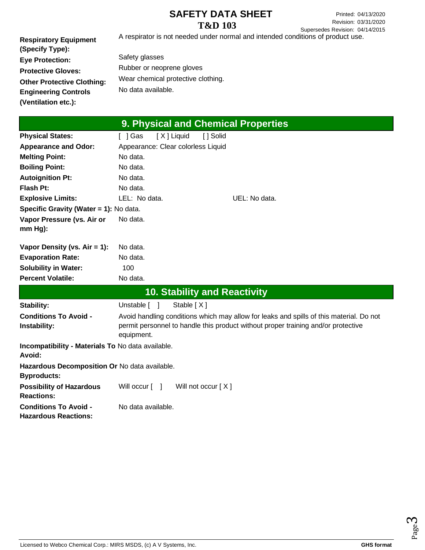Printed: 04/13/2020 Revision: 03/31/2020 Supersedes Revision: 04/14/2015

**Respiratory Equipment (Specify Type): Eye Protection: Protective Gloves: Other Protective Clothing: Engineering Controls (Ventilation etc.):** A respirator is not needed under normal and intended conditions of product use. Safety glasses Rubber or neoprene gloves Wear chemical protective clothing. No data available.

| 9. Physical and Chemical Properties                         |                                                                                         |  |  |
|-------------------------------------------------------------|-----------------------------------------------------------------------------------------|--|--|
| <b>Physical States:</b>                                     | [X] Liquid<br>[ ] Solid<br>[ ] Gas                                                      |  |  |
| <b>Appearance and Odor:</b>                                 | Appearance: Clear colorless Liquid                                                      |  |  |
| <b>Melting Point:</b>                                       | No data.                                                                                |  |  |
| <b>Boiling Point:</b>                                       | No data.                                                                                |  |  |
| <b>Autoignition Pt:</b>                                     | No data.                                                                                |  |  |
| <b>Flash Pt:</b>                                            | No data.                                                                                |  |  |
| <b>Explosive Limits:</b>                                    | LEL: No data.<br>UEL: No data.                                                          |  |  |
| Specific Gravity (Water = 1): No data.                      |                                                                                         |  |  |
| Vapor Pressure (vs. Air or                                  | No data.                                                                                |  |  |
| mm Hg):                                                     |                                                                                         |  |  |
| Vapor Density (vs. $Air = 1$ ):                             | No data.                                                                                |  |  |
| <b>Evaporation Rate:</b>                                    | No data.                                                                                |  |  |
| <b>Solubility in Water:</b>                                 | 100                                                                                     |  |  |
| <b>Percent Volatile:</b>                                    | No data.                                                                                |  |  |
|                                                             | <b>10. Stability and Reactivity</b>                                                     |  |  |
| <b>Stability:</b>                                           | Stable [X]<br>Unstable [ ]                                                              |  |  |
| <b>Conditions To Avoid -</b>                                | Avoid handling conditions which may allow for leaks and spills of this material. Do not |  |  |
| Instability:                                                | permit personnel to handle this product without proper training and/or protective       |  |  |
|                                                             | equipment.                                                                              |  |  |
| Incompatibility - Materials To No data available.<br>Avoid: |                                                                                         |  |  |
| Hazardous Decomposition Or No data available.               |                                                                                         |  |  |
| <b>Byproducts:</b>                                          |                                                                                         |  |  |
| <b>Possibility of Hazardous</b><br><b>Reactions:</b>        | Will occur [ ]<br>Will not occur $[X]$                                                  |  |  |
| <b>Conditions To Avoid -</b><br><b>Hazardous Reactions:</b> | No data available.                                                                      |  |  |